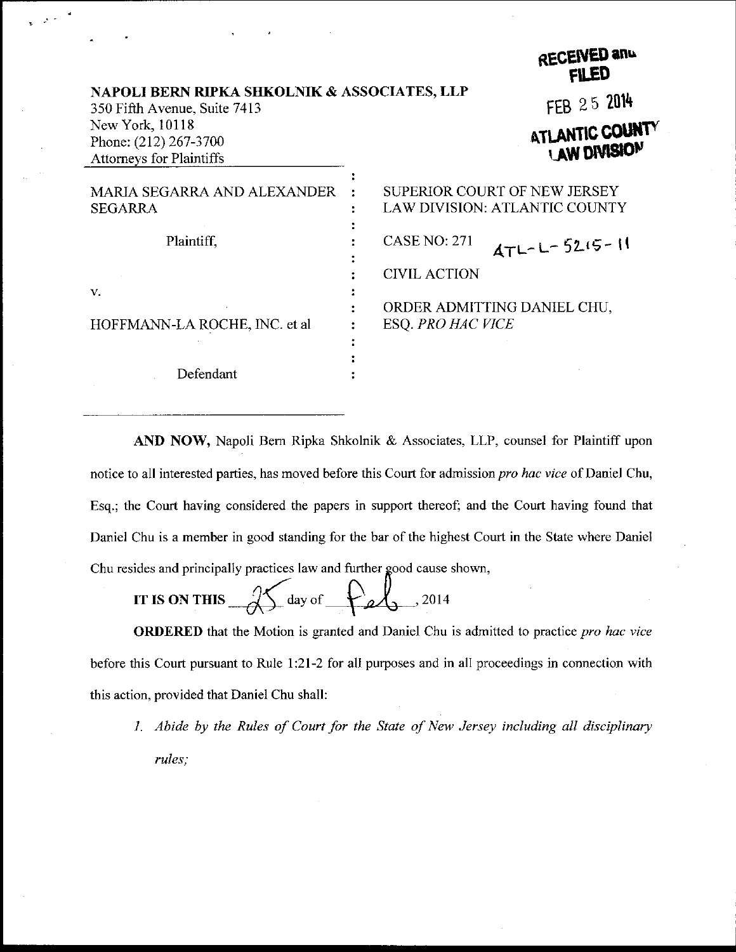|                                                                              |                          | RECEIVED and<br><b>FILED</b>                                  |
|------------------------------------------------------------------------------|--------------------------|---------------------------------------------------------------|
| NAPOLI BERN RIPKA SHKOLNIK & ASSOCIATES, LLP<br>350 Fifth Avenue, Suite 7413 |                          | FEB 25 2014                                                   |
| New York, 10118<br>Phone: (212) 267-3700<br><b>Attorneys for Plaintiffs</b>  |                          | ATLANTIC COUNTY<br>LAW DIVISION                               |
| MARIA SEGARRA AND ALEXANDER<br><b>SEGARRA</b>                                |                          | SUPERIOR COURT OF NEW JERSEY<br>LAW DIVISION: ATLANTIC COUNTY |
| Plaintiff.                                                                   | <b>CASE NO: 271</b>      | $4TL-L-52.15-11$                                              |
|                                                                              | <b>CIVIL ACTION</b>      |                                                               |
| V.<br>HOFFMANN-LA ROCHE, INC. et al                                          | <b>ESQ. PRO HAC VICE</b> | ORDER ADMITTING DANIEL CHU,                                   |
| Defendant                                                                    |                          |                                                               |

AND NOW, Napoli Bern Ripka Shkolnik & Associates, LLP, counsel for Plaintiff upon notice to all interested parties, has moved before this Court for admission *pro hac vice* of Daniel Chu, Esq.; the Court having considered the papers in support thereof; and the Court having found that Daniel Chu is a member in good standing for the bar of the highest Court in the State where Daniel Chu resides and principally practices law and further good cause shown,

IT IS ON THIS  $\sqrt{\phantom{a}}$  day of  $\phantom{a}$   $\phantom{a}$   $\phantom{a}$   $\phantom{a}$   $\phantom{a}$   $\phantom{a}$   $\phantom{a}$   $\phantom{a}$   $\phantom{a}$   $\phantom{a}$   $\phantom{a}$   $\phantom{a}$   $\phantom{a}$   $\phantom{a}$   $\phantom{a}$   $\phantom{a}$   $\phantom{a}$   $\phantom{a}$   $\phantom{a}$   $\phantom{a}$   $\phantom{a}$ 

ORDERED that the Motion is granted and Daniel Chu is admitted to practice pro hac vice before this Court pursuant to Rule 1:21-2 for all purposes and in all proceedings in connection with this action, provided that Daniel Chu shall:

1. Abide by the Rules of Court for the State of New Jersey including all disciplinary rules;